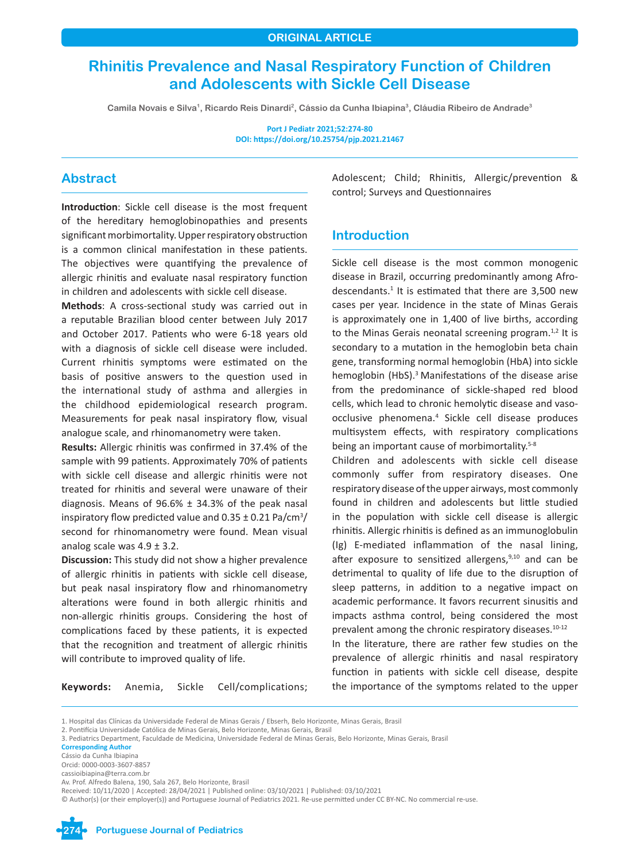# **Rhinitis Prevalence and Nasal Respiratory Function of Children and Adolescents with Sickle Cell Disease**

**Camila Novais e Silva1, Ricardo Reis Dinardi2, Cássio da Cunha Ibiapina3, Cláudia Ribeiro de Andrade3**

**Port J Pediatr 2021;52:274-80 DOI: https://doi.org/10.25754/pjp.2021.21467**

# **Abstract**

**Introduction**: Sickle cell disease is the most frequent of the hereditary hemoglobinopathies and presents significant morbimortality. Upper respiratory obstruction is a common clinical manifestation in these patients. The objectives were quantifying the prevalence of allergic rhinitis and evaluate nasal respiratory function in children and adolescents with sickle cell disease.

**Methods**: A cross-sectional study was carried out in a reputable Brazilian blood center between July 2017 and October 2017. Patients who were 6-18 years old with a diagnosis of sickle cell disease were included. Current rhinitis symptoms were estimated on the basis of positive answers to the question used in the international study of asthma and allergies in the childhood epidemiological research program. Measurements for peak nasal inspiratory flow, visual analogue scale, and rhinomanometry were taken.

**Results:** Allergic rhinitis was confirmed in 37.4% of the sample with 99 patients. Approximately 70% of patients with sickle cell disease and allergic rhinitis were not treated for rhinitis and several were unaware of their diagnosis. Means of  $96.6\% \pm 34.3\%$  of the peak nasal inspiratory flow predicted value and  $0.35 \pm 0.21$  Pa/cm<sup>3</sup>/ second for rhinomanometry were found. Mean visual analog scale was 4.9 ± 3.2.

**Discussion:** This study did not show a higher prevalence of allergic rhinitis in patients with sickle cell disease, but peak nasal inspiratory flow and rhinomanometry alterations were found in both allergic rhinitis and non-allergic rhinitis groups. Considering the host of complications faced by these patients, it is expected that the recognition and treatment of allergic rhinitis will contribute to improved quality of life.

**Keywords:** Anemia, Sickle Cell/complications;

Adolescent; Child; Rhinitis, Allergic/prevention & control; Surveys and Questionnaires

# **Introduction**

Sickle cell disease is the most common monogenic disease in Brazil, occurring predominantly among Afrodescendants. $1$  It is estimated that there are 3,500 new cases per year. Incidence in the state of Minas Gerais is approximately one in 1,400 of live births, according to the Minas Gerais neonatal screening program. $1,2$  It is secondary to a mutation in the hemoglobin beta chain gene, transforming normal hemoglobin (HbA) into sickle hemoglobin (HbS).<sup>3</sup> Manifestations of the disease arise from the predominance of sickle-shaped red blood cells, which lead to chronic hemolytic disease and vasoocclusive phenomena.<sup>4</sup> Sickle cell disease produces multisystem effects, with respiratory complications being an important cause of morbimortality.<sup>5-8</sup>

Children and adolescents with sickle cell disease commonly suffer from respiratory diseases. One respiratory disease of the upper airways, most commonly found in children and adolescents but little studied in the population with sickle cell disease is allergic rhinitis. Allergic rhinitis is defined as an immunoglobulin (Ig) E-mediated inflammation of the nasal lining, after exposure to sensitized allergens, $9,10$  and can be detrimental to quality of life due to the disruption of sleep patterns, in addition to a negative impact on academic performance. It favors recurrent sinusitis and impacts asthma control, being considered the most prevalent among the chronic respiratory diseases.<sup>10-12</sup>

In the literature, there are rather few studies on the prevalence of allergic rhinitis and nasal respiratory function in patients with sickle cell disease, despite the importance of the symptoms related to the upper

**Corresponding Author** Cássio da Cunha Ibiapina

<sup>©</sup> Author(s) (or their employer(s)) and Portuguese Journal of Pediatrics 2021. Re-use permitted under CC BY-NC. No commercial re-use.



**274 Portuguese Journal of Pediatrics**

<sup>1.</sup> Hospital das Clínicas da Universidade Federal de Minas Gerais / Ebserh, Belo Horizonte, Minas Gerais, Brasil

<sup>2.</sup> Pontifícia Universidade Católica de Minas Gerais, Belo Horizonte, Minas Gerais, Brasil

<sup>3.</sup> Pediatrics Department, Faculdade de Medicina, Universidade Federal de Minas Gerais, Belo Horizonte, Minas Gerais, Brasil

Orcid: 0000-0003-3607-8857 cassioibiapina@terra.com.br

Av. Prof. Alfredo Balena, 190, Sala 267, Belo Horizonte, Brasil

Received: 10/11/2020 | Accepted: 28/04/2021 | Published online: 03/10/2021 | Published: 03/10/2021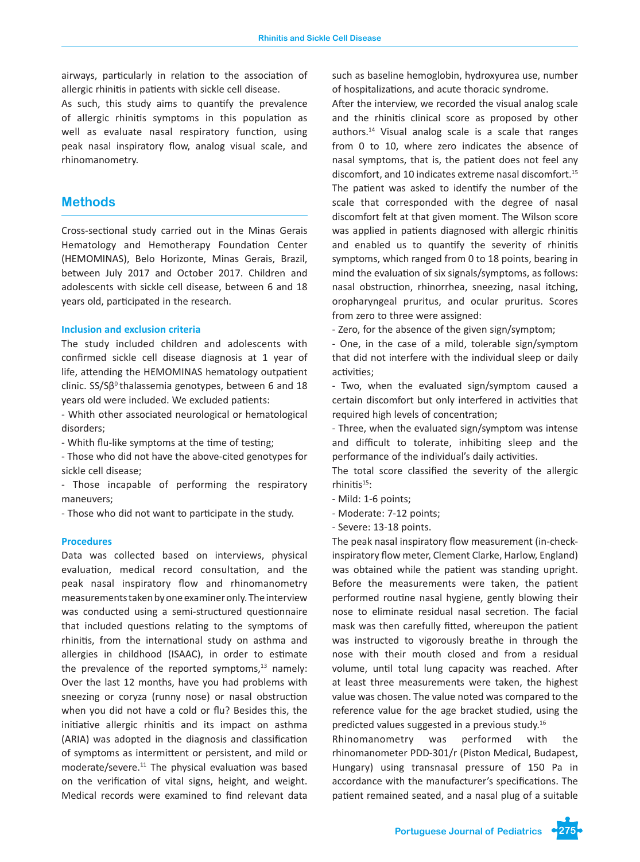airways, particularly in relation to the association of allergic rhinitis in patients with sickle cell disease.

As such, this study aims to quantify the prevalence of allergic rhinitis symptoms in this population as well as evaluate nasal respiratory function, using peak nasal inspiratory flow, analog visual scale, and rhinomanometry.

# **Methods**

Cross-sectional study carried out in the Minas Gerais Hematology and Hemotherapy Foundation Center (HEMOMINAS), Belo Horizonte, Minas Gerais, Brazil, between July 2017 and October 2017. Children and adolescents with sickle cell disease, between 6 and 18 years old, participated in the research.

### **Inclusion and exclusion criteria**

The study included children and adolescents with confirmed sickle cell disease diagnosis at 1 year of life, attending the HEMOMINAS hematology outpatient clinic.  $SS/S\beta^0$  thalassemia genotypes, between 6 and 18 years old were included. We excluded patients:

- Whith other associated neurological or hematological disorders;

- Whith flu-like symptoms at the time of testing;

- Those who did not have the above-cited genotypes for sickle cell disease;

- Those incapable of performing the respiratory maneuvers;

- Those who did not want to participate in the study.

### **Procedures**

Data was collected based on interviews, physical evaluation, medical record consultation, and the peak nasal inspiratory flow and rhinomanometry measurements taken by one examiner only. The interview was conducted using a semi-structured questionnaire that included questions relating to the symptoms of rhinitis, from the international study on asthma and allergies in childhood (ISAAC), in order to estimate the prevalence of the reported symptoms, $13$  namely: Over the last 12 months, have you had problems with sneezing or coryza (runny nose) or nasal obstruction when you did not have a cold or flu? Besides this, the initiative allergic rhinitis and its impact on asthma (ARIA) was adopted in the diagnosis and classification of symptoms as intermittent or persistent, and mild or moderate/severe.11 The physical evaluation was based on the verification of vital signs, height, and weight. Medical records were examined to find relevant data

such as baseline hemoglobin, hydroxyurea use, number of hospitalizations, and acute thoracic syndrome.

After the interview, we recorded the visual analog scale and the rhinitis clinical score as proposed by other authors.14 Visual analog scale is a scale that ranges from 0 to 10, where zero indicates the absence of nasal symptoms, that is, the patient does not feel any discomfort, and 10 indicates extreme nasal discomfort.<sup>15</sup> The patient was asked to identify the number of the scale that corresponded with the degree of nasal discomfort felt at that given moment. The Wilson score was applied in patients diagnosed with allergic rhinitis and enabled us to quantify the severity of rhinitis symptoms, which ranged from 0 to 18 points, bearing in mind the evaluation of six signals/symptoms, as follows: nasal obstruction, rhinorrhea, sneezing, nasal itching, oropharyngeal pruritus, and ocular pruritus. Scores from zero to three were assigned:

- Zero, for the absence of the given sign/symptom;

- One, in the case of a mild, tolerable sign/symptom that did not interfere with the individual sleep or daily activities;

- Two, when the evaluated sign/symptom caused a certain discomfort but only interfered in activities that required high levels of concentration;

- Three, when the evaluated sign/symptom was intense and difficult to tolerate, inhibiting sleep and the performance of the individual's daily activities.

The total score classified the severity of the allergic rhinitis $15$ :

- Mild: 1-6 points;
- Moderate: 7-12 points;
- Severe: 13-18 points.

The peak nasal inspiratory flow measurement (in-checkinspiratory flow meter, Clement Clarke, Harlow, England) was obtained while the patient was standing upright. Before the measurements were taken, the patient performed routine nasal hygiene, gently blowing their nose to eliminate residual nasal secretion. The facial mask was then carefully fitted, whereupon the patient was instructed to vigorously breathe in through the nose with their mouth closed and from a residual volume, until total lung capacity was reached. After at least three measurements were taken, the highest value was chosen. The value noted was compared to the reference value for the age bracket studied, using the predicted values suggested in a previous study.<sup>16</sup>

Rhinomanometry was performed with the rhinomanometer PDD-301/r (Piston Medical, Budapest, Hungary) using transnasal pressure of 150 Pa in accordance with the manufacturer's specifications. The patient remained seated, and a nasal plug of a suitable

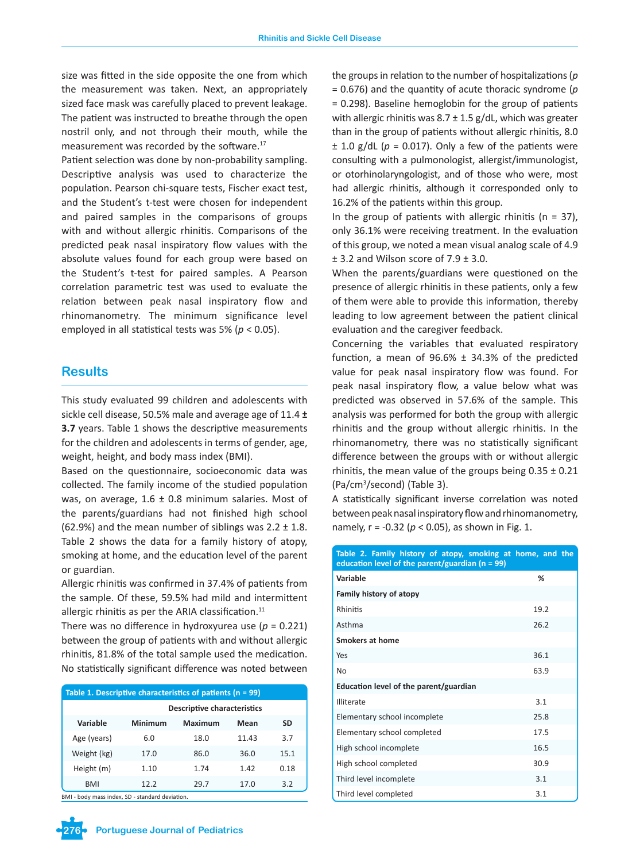size was fitted in the side opposite the one from which the measurement was taken. Next, an appropriately sized face mask was carefully placed to prevent leakage. The patient was instructed to breathe through the open nostril only, and not through their mouth, while the measurement was recorded by the software.<sup>17</sup>

Patient selection was done by non-probability sampling. Descriptive analysis was used to characterize the population. Pearson chi-square tests, Fischer exact test, and the Student's t-test were chosen for independent and paired samples in the comparisons of groups with and without allergic rhinitis. Comparisons of the predicted peak nasal inspiratory flow values with the absolute values found for each group were based on the Student's t-test for paired samples. A Pearson correlation parametric test was used to evaluate the relation between peak nasal inspiratory flow and rhinomanometry. The minimum significance level employed in all statistical tests was 5% (*p* < 0.05).

### **Results**

This study evaluated 99 children and adolescents with sickle cell disease, 50.5% male and average age of 11.4 **± 3.7** years. Table 1 shows the descriptive measurements for the children and adolescents in terms of gender, age, weight, height, and body mass index (BMI).

Based on the questionnaire, socioeconomic data was collected. The family income of the studied population was, on average,  $1.6 \pm 0.8$  minimum salaries. Most of the parents/guardians had not finished high school (62.9%) and the mean number of siblings was  $2.2 \pm 1.8$ . Table 2 shows the data for a family history of atopy, smoking at home, and the education level of the parent or guardian.

Allergic rhinitis was confirmed in 37.4% of patients from the sample. Of these, 59.5% had mild and intermittent allergic rhinitis as per the ARIA classification. $11$ 

There was no difference in hydroxyurea use  $(p = 0.221)$ between the group of patients with and without allergic rhinitis, 81.8% of the total sample used the medication. No statistically significant difference was noted between

| Table 1. Descriptive characteristics of patients $(n = 99)$ |                                    |         |       |           |  |  |  |  |  |  |
|-------------------------------------------------------------|------------------------------------|---------|-------|-----------|--|--|--|--|--|--|
|                                                             | <b>Descriptive characteristics</b> |         |       |           |  |  |  |  |  |  |
| Variable                                                    | Minimum                            | Maximum | Mean  | <b>SD</b> |  |  |  |  |  |  |
| Age (years)                                                 | 6.0                                | 18.0    | 11.43 | 3.7       |  |  |  |  |  |  |
| Weight (kg)                                                 | 17.0                               | 86.0    | 36.0  | 15.1      |  |  |  |  |  |  |
| Height (m)                                                  | 1.10                               | 1.74    | 1.42  | 0.18      |  |  |  |  |  |  |
| <b>BMI</b>                                                  | 12.2                               | 29.7    | 17.0  | 3.2       |  |  |  |  |  |  |

AI - body mass index, SD - standard deviation

the groups in relation to the number of hospitalizations (*p* = 0.676) and the quantity of acute thoracic syndrome (*p* = 0.298). Baseline hemoglobin for the group of patients with allergic rhinitis was  $8.7 \pm 1.5$  g/dL, which was greater than in the group of patients without allergic rhinitis, 8.0  $\pm$  1.0 g/dL ( $p = 0.017$ ). Only a few of the patients were consulting with a pulmonologist, allergist/immunologist, or otorhinolaryngologist, and of those who were, most had allergic rhinitis, although it corresponded only to 16.2% of the patients within this group.

In the group of patients with allergic rhinitis ( $n = 37$ ), only 36.1% were receiving treatment. In the evaluation of this group, we noted a mean visual analog scale of 4.9  $\pm$  3.2 and Wilson score of  $7.9 \pm 3.0$ .

When the parents/guardians were questioned on the presence of allergic rhinitis in these patients, only a few of them were able to provide this information, thereby leading to low agreement between the patient clinical evaluation and the caregiver feedback.

Concerning the variables that evaluated respiratory function, a mean of  $96.6\% \pm 34.3\%$  of the predicted value for peak nasal inspiratory flow was found. For peak nasal inspiratory flow, a value below what was predicted was observed in 57.6% of the sample. This analysis was performed for both the group with allergic rhinitis and the group without allergic rhinitis. In the rhinomanometry, there was no statistically significant difference between the groups with or without allergic rhinitis, the mean value of the groups being  $0.35 \pm 0.21$ (Pa/cm<sup>3</sup> /second) (Table 3).

A statistically significant inverse correlation was noted between peak nasal inspiratory flow and rhinomanometry, namely, r = -0.32 (*p* < 0.05), as shown in Fig. 1.

| Table 2. Family history of atopy, smoking at home, and the<br>education level of the parent/guardian ( $n = 99$ ) |      |  |  |
|-------------------------------------------------------------------------------------------------------------------|------|--|--|
| Variable                                                                                                          | %    |  |  |
| Family history of atopy                                                                                           |      |  |  |
| Rhinitis                                                                                                          | 19.2 |  |  |
| Asthma                                                                                                            | 26.2 |  |  |
| <b>Smokers at home</b>                                                                                            |      |  |  |
| Yes                                                                                                               | 36.1 |  |  |
| No                                                                                                                | 63.9 |  |  |
| Education level of the parent/guardian                                                                            |      |  |  |
| Illiterate                                                                                                        | 3.1  |  |  |
| Elementary school incomplete                                                                                      | 25.8 |  |  |
| Elementary school completed                                                                                       | 17.5 |  |  |
| High school incomplete                                                                                            | 16.5 |  |  |
| High school completed                                                                                             | 30.9 |  |  |
| Third level incomplete                                                                                            | 3.1  |  |  |
| Third level completed                                                                                             | 3.1  |  |  |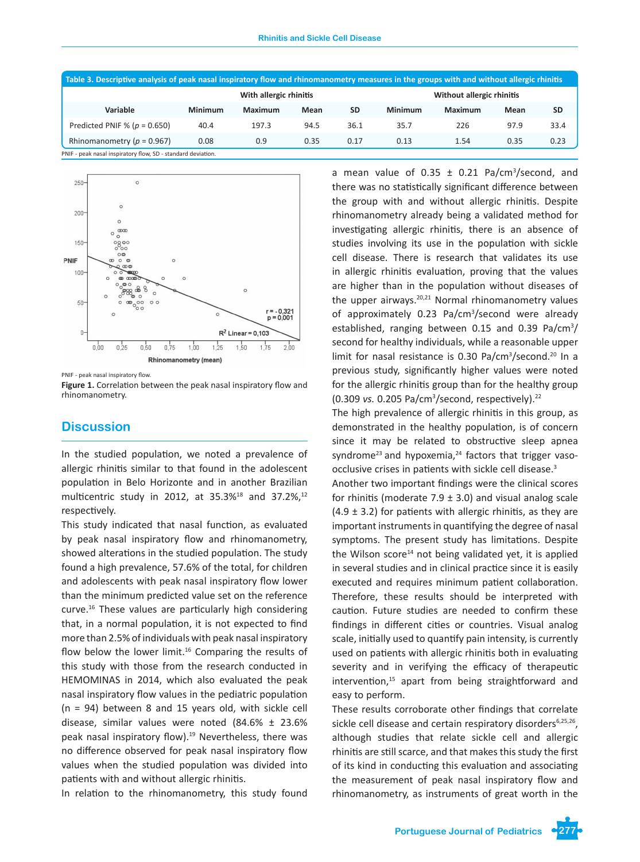| Table 3. Descriptive analysis of peak nasal inspiratory flow and rhinomanometry measures in the groups with and without allergic rhinitis |         |      |           |                           |         |      |           |  |  |  |  |
|-------------------------------------------------------------------------------------------------------------------------------------------|---------|------|-----------|---------------------------|---------|------|-----------|--|--|--|--|
| With allergic rhinitis                                                                                                                    |         |      |           | Without allergic rhinitis |         |      |           |  |  |  |  |
| Minimum                                                                                                                                   | Maximum | Mean | <b>SD</b> | Minimum                   | Maximum | Mean | <b>SD</b> |  |  |  |  |
| 40.4                                                                                                                                      | 197.3   | 94.5 | 36.1      | 35.7                      | 226     | 97.9 | 33.4      |  |  |  |  |
| 0.08                                                                                                                                      | 0.9     | 0.35 | 0.17      | 0.13                      | 1.54    | 0.35 | 0.23      |  |  |  |  |
|                                                                                                                                           |         |      |           |                           |         |      |           |  |  |  |  |

PNIF - peak nasal inspiratory flow, SD - standard deviation.



PNIF - peak nasal inspiratory flow.

**Figure 1.** Correlation between the peak nasal inspiratory flow and rhinomanometry.

# **Discussion**

In the studied population, we noted a prevalence of allergic rhinitis similar to that found in the adolescent population in Belo Horizonte and in another Brazilian multicentric study in 2012, at 35.3%<sup>18</sup> and 37.2%,<sup>12</sup> respectively.

This study indicated that nasal function, as evaluated by peak nasal inspiratory flow and rhinomanometry, showed alterations in the studied population. The study found a high prevalence, 57.6% of the total, for children and adolescents with peak nasal inspiratory flow lower than the minimum predicted value set on the reference curve.16 These values are particularly high considering that, in a normal population, it is not expected to find more than 2.5% of individuals with peak nasal inspiratory flow below the lower limit.<sup>16</sup> Comparing the results of this study with those from the research conducted in HEMOMINAS in 2014, which also evaluated the peak nasal inspiratory flow values in the pediatric population (n = 94) between 8 and 15 years old, with sickle cell disease, similar values were noted (84.6% ± 23.6% peak nasal inspiratory flow).19 Nevertheless, there was no difference observed for peak nasal inspiratory flow values when the studied population was divided into patients with and without allergic rhinitis.

In relation to the rhinomanometry, this study found

a mean value of  $0.35 \pm 0.21$  Pa/cm<sup>3</sup>/second, and there was no statistically significant difference between the group with and without allergic rhinitis. Despite rhinomanometry already being a validated method for investigating allergic rhinitis, there is an absence of studies involving its use in the population with sickle cell disease. There is research that validates its use in allergic rhinitis evaluation, proving that the values are higher than in the population without diseases of the upper airways.<sup>20,21</sup> Normal rhinomanometry values of approximately 0.23 Pa/cm<sup>3</sup>/second were already established, ranging between 0.15 and 0.39 Pa/cm<sup>3</sup>/ second for healthy individuals, while a reasonable upper limit for nasal resistance is 0.30 Pa/cm<sup>3</sup>/second.<sup>20</sup> In a previous study, significantly higher values were noted for the allergic rhinitis group than for the healthy group (0.309 *vs.* 0.205 Pa/cm<sup>3</sup> /second, respectively).<sup>22</sup>

The high prevalence of allergic rhinitis in this group, as demonstrated in the healthy population, is of concern since it may be related to obstructive sleep apnea syndrome<sup>23</sup> and hypoxemia,<sup>24</sup> factors that trigger vasoocclusive crises in patients with sickle cell disease.<sup>3</sup>

Another two important findings were the clinical scores for rhinitis (moderate  $7.9 \pm 3.0$ ) and visual analog scale  $(4.9 \pm 3.2)$  for patients with allergic rhinitis, as they are important instruments in quantifying the degree of nasal symptoms. The present study has limitations. Despite the Wilson score<sup>14</sup> not being validated yet, it is applied in several studies and in clinical practice since it is easily executed and requires minimum patient collaboration. Therefore, these results should be interpreted with caution. Future studies are needed to confirm these findings in different cities or countries. Visual analog scale, initially used to quantify pain intensity, is currently used on patients with allergic rhinitis both in evaluating severity and in verifying the efficacy of therapeutic intervention,15 apart from being straightforward and easy to perform.

These results corroborate other findings that correlate sickle cell disease and certain respiratory disorders $6,25,26$ , although studies that relate sickle cell and allergic rhinitis are still scarce, and that makes this study the first of its kind in conducting this evaluation and associating the measurement of peak nasal inspiratory flow and rhinomanometry, as instruments of great worth in the

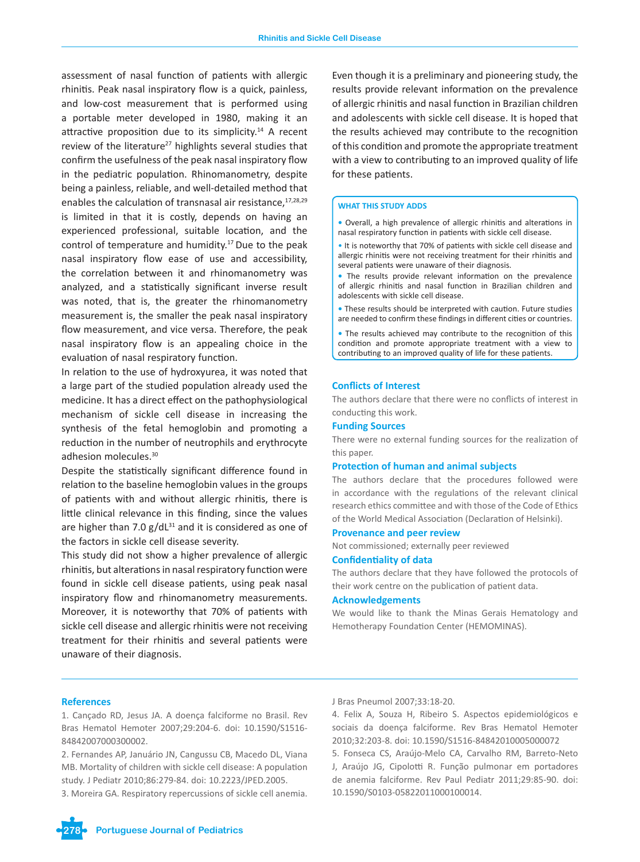assessment of nasal function of patients with allergic rhinitis. Peak nasal inspiratory flow is a quick, painless, and low-cost measurement that is performed using a portable meter developed in 1980, making it an attractive proposition due to its simplicity.<sup>14</sup> A recent review of the literature<sup>27</sup> highlights several studies that confirm the usefulness of the peak nasal inspiratory flow in the pediatric population. Rhinomanometry, despite being a painless, reliable, and well-detailed method that enables the calculation of transnasal air resistance,  $17,28,29$ is limited in that it is costly, depends on having an experienced professional, suitable location, and the control of temperature and humidity.<sup>17</sup> Due to the peak nasal inspiratory flow ease of use and accessibility, the correlation between it and rhinomanometry was analyzed, and a statistically significant inverse result was noted, that is, the greater the rhinomanometry measurement is, the smaller the peak nasal inspiratory flow measurement, and vice versa. Therefore, the peak nasal inspiratory flow is an appealing choice in the evaluation of nasal respiratory function.

In relation to the use of hydroxyurea, it was noted that a large part of the studied population already used the medicine. It has a direct effect on the pathophysiological mechanism of sickle cell disease in increasing the synthesis of the fetal hemoglobin and promoting a reduction in the number of neutrophils and erythrocyte adhesion molecules.30

Despite the statistically significant difference found in relation to the baseline hemoglobin values in the groups of patients with and without allergic rhinitis, there is little clinical relevance in this finding, since the values are higher than 7.0  $g/dL^{31}$  and it is considered as one of the factors in sickle cell disease severity.

This study did not show a higher prevalence of allergic rhinitis, but alterations in nasal respiratory function were found in sickle cell disease patients, using peak nasal inspiratory flow and rhinomanometry measurements. Moreover, it is noteworthy that 70% of patients with sickle cell disease and allergic rhinitis were not receiving treatment for their rhinitis and several patients were unaware of their diagnosis.

Even though it is a preliminary and pioneering study, the results provide relevant information on the prevalence of allergic rhinitis and nasal function in Brazilian children and adolescents with sickle cell disease. It is hoped that the results achieved may contribute to the recognition of this condition and promote the appropriate treatment with a view to contributing to an improved quality of life for these patients.

#### **WHAT THIS STUDY ADDS**

**•** Overall, a high prevalence of allergic rhinitis and alterations in nasal respiratory function in patients with sickle cell disease.

- It is noteworthy that 70% of patients with sickle cell disease and allergic rhinitis were not receiving treatment for their rhinitis and several patients were unaware of their diagnosis.
- The results provide relevant information on the prevalence of allergic rhinitis and nasal function in Brazilian children and adolescents with sickle cell disease.
- These results should be interpreted with caution. Future studies are needed to confirm these findings in different cities or countries.
- The results achieved may contribute to the recognition of this condition and promote appropriate treatment with a view to contributing to an improved quality of life for these patients.

#### **Conflicts of Interest**

The authors declare that there were no conflicts of interest in conducting this work.

### **Funding Sources**

There were no external funding sources for the realization of this paper.

#### **Protection of human and animal subjects**

The authors declare that the procedures followed were in accordance with the regulations of the relevant clinical research ethics committee and with those of the Code of Ethics of the World Medical Association (Declaration of Helsinki).

#### **Provenance and peer review**

Not commissioned; externally peer reviewed

#### **Confidentiality of data**

The authors declare that they have followed the protocols of their work centre on the publication of patient data.

#### **Acknowledgements**

We would like to thank the Minas Gerais Hematology and Hemotherapy Foundation Center (HEMOMINAS).

### **References**

1. Cançado RD, Jesus JA. A doença falciforme no Brasil. Rev Bras Hematol Hemoter 2007;29:204-6. doi: 10.1590/S1516- 84842007000300002.

2. Fernandes AP, Januário JN, Cangussu CB, Macedo DL, Viana MB. Mortality of children with sickle cell disease: A population study. J Pediatr 2010;86:279-84. doi: 10.2223/JPED.2005.

3. Moreira GA. Respiratory repercussions of sickle cell anemia.

#### J Bras Pneumol 2007;33:18-20.

4. Felix A, Souza H, Ribeiro S. Aspectos epidemiológicos e sociais da doença falciforme. Rev Bras Hematol Hemoter 2010;32:203-8. doi: 10.1590/S1516-84842010005000072

5. Fonseca CS, Araújo-Melo CA, Carvalho RM, Barreto-Neto J, Araújo JG, Cipolotti R. Função pulmonar em portadores de anemia falciforme. Rev Paul Pediatr 2011;29:85-90. doi: 10.1590/S0103-05822011000100014.

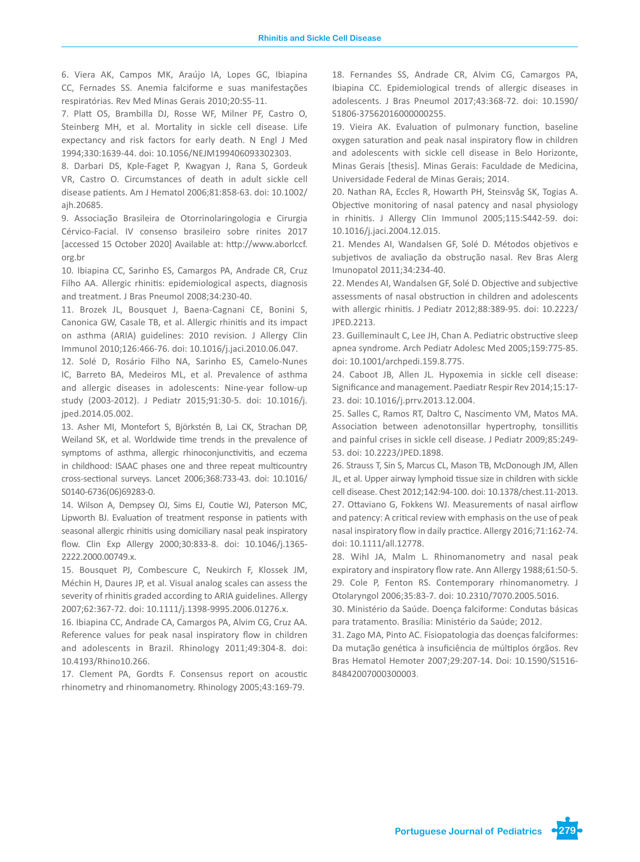6. Viera AK, Campos MK, Araújo IA, Lopes GC, Ibiapina CC, Fernades SS. Anemia falciforme e suas manifestações respiratórias. Rev Med Minas Gerais 2010;20:S5-11.

7. Platt OS, Brambilla DJ, Rosse WF, Milner PF, Castro O, Steinberg MH, et al. Mortality in sickle cell disease. Life expectancy and risk factors for early death. N Engl J Med 1994;330:1639-44. doi: 10.1056/NEJM199406093302303.

8. Darbari DS, Kple-Faget P, Kwagyan J, Rana S, Gordeuk VR, Castro O. Circumstances of death in adult sickle cell disease patients. Am J Hematol 2006;81:858-63. doi: 10.1002/ ajh.20685.

9. Associação Brasileira de Otorrinolaringologia e Cirurgia Cérvico-Facial. IV consenso brasileiro sobre rinites 2017 [accessed 15 October 2020] Available at: http://www.aborlccf. org.br

10. Ibiapina CC, Sarinho ES, Camargos PA, Andrade CR, Cruz Filho AA. Allergic rhinitis: epidemiological aspects, diagnosis and treatment. J Bras Pneumol 2008;34:230-40.

11. Brozek JL, Bousquet J, Baena-Cagnani CE, Bonini S, Canonica GW, Casale TB, et al. Allergic rhinitis and its impact on asthma (ARIA) guidelines: 2010 revision. J Allergy Clin Immunol 2010;126:466-76. doi: 10.1016/j.jaci.2010.06.047.

12. Solé D, Rosário Filho NA, Sarinho ES, Camelo-Nunes IC, Barreto BA, Medeiros ML, et al. Prevalence of asthma and allergic diseases in adolescents: Nine-year follow-up study (2003-2012). J Pediatr 2015;91:30-5. doi: 10.1016/j. jped.2014.05.002.

13. Asher MI, Montefort S, Björkstén B, Lai CK, Strachan DP, Weiland SK, et al. Worldwide time trends in the prevalence of symptoms of asthma, allergic rhinoconjunctivitis, and eczema in childhood: ISAAC phases one and three repeat multicountry cross-sectional surveys. Lancet 2006;368:733-43. doi: 10.1016/ S0140-6736(06)69283-0.

14. Wilson A, Dempsey OJ, Sims EJ, Coutie WJ, Paterson MC, Lipworth BJ. Evaluation of treatment response in patients with seasonal allergic rhinitis using domiciliary nasal peak inspiratory flow. Clin Exp Allergy 2000;30:833-8. doi: 10.1046/j.1365- 2222.2000.00749.x.

15. Bousquet PJ, Combescure C, Neukirch F, Klossek JM, Méchin H, Daures JP, et al. Visual analog scales can assess the severity of rhinitis graded according to ARIA guidelines. Allergy 2007;62:367-72. doi: 10.1111/j.1398-9995.2006.01276.x.

16. Ibiapina CC, Andrade CA, Camargos PA, Alvim CG, Cruz AA. Reference values for peak nasal inspiratory flow in children and adolescents in Brazil. Rhinology 2011;49:304-8. doi: 10.4193/Rhino10.266.

17. Clement PA, Gordts F. Consensus report on acoustic rhinometry and rhinomanometry. Rhinology 2005;43:169-79.

18. Fernandes SS, Andrade CR, Alvim CG, Camargos PA, Ibiapina CC. Epidemiological trends of allergic diseases in adolescents. J Bras Pneumol 2017;43:368-72. doi: 10.1590/ S1806-37562016000000255.

19. Vieira AK. Evaluation of pulmonary function, baseline oxygen saturation and peak nasal inspiratory flow in children and adolescents with sickle cell disease in Belo Horizonte, Minas Gerais [thesis]. Minas Gerais: Faculdade de Medicina, Universidade Federal de Minas Gerais; 2014.

20. Nathan RA, Eccles R, Howarth PH, Steinsvåg SK, Togias A. Objective monitoring of nasal patency and nasal physiology in rhinitis. J Allergy Clin Immunol 2005;115:S442-59. doi: 10.1016/j.jaci.2004.12.015.

21. Mendes AI, Wandalsen GF, Solé D. Métodos objetivos e subjetivos de avaliação da obstrução nasal. Rev Bras Alerg Imunopatol 2011;34:234-40.

22. Mendes AI, Wandalsen GF, Solé D. Objective and subjective assessments of nasal obstruction in children and adolescents with allergic rhinitis. J Pediatr 2012;88:389-95. doi: 10.2223/ JPED.2213.

23. Guilleminault C, Lee JH, Chan A. Pediatric obstructive sleep apnea syndrome. Arch Pediatr Adolesc Med 2005;159:775-85. doi: 10.1001/archpedi.159.8.775.

24. Caboot JB, Allen JL. Hypoxemia in sickle cell disease: Significance and management. Paediatr Respir Rev 2014;15:17- 23. doi: 10.1016/j.prrv.2013.12.004.

25. Salles C, Ramos RT, Daltro C, Nascimento VM, Matos MA. Association between adenotonsillar hypertrophy, tonsillitis and painful crises in sickle cell disease. J Pediatr 2009;85:249- 53. doi: 10.2223/JPED.1898.

26. Strauss T, Sin S, Marcus CL, Mason TB, McDonough JM, Allen JL, et al. Upper airway lymphoid tissue size in children with sickle cell disease. Chest 2012;142:94-100. doi: 10.1378/chest.11-2013. 27. Ottaviano G, Fokkens WJ. Measurements of nasal airflow and patency: A critical review with emphasis on the use of peak nasal inspiratory flow in daily practice. Allergy 2016;71:162-74. doi: 10.1111/all.12778.

28. Wihl JA, Malm L. Rhinomanometry and nasal peak expiratory and inspiratory flow rate. Ann Allergy 1988;61:50-5. 29. Cole P, Fenton RS. Contemporary rhinomanometry. J Otolaryngol 2006;35:83-7. doi: 10.2310/7070.2005.5016.

30. Ministério da Saúde. Doença falciforme: Condutas básicas para tratamento. Brasília: Ministério da Saúde; 2012.

31. Zago MA, Pinto AC. Fisiopatologia das doenças falciformes: Da mutação genética à insuficiência de múltiplos órgãos. Rev Bras Hematol Hemoter 2007;29:207-14. Doi: 10.1590/S1516- 84842007000300003.